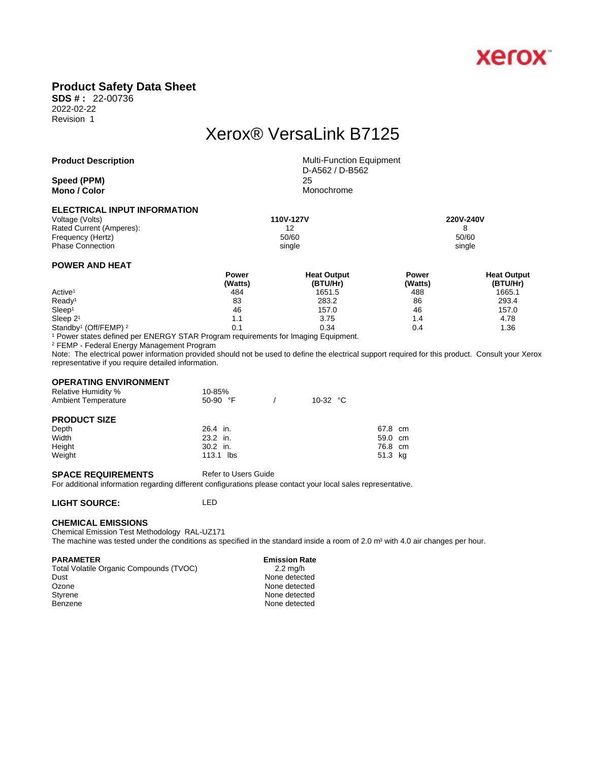

## **Product Safety Data Sheet**

**SDS # :** 22-00736 2022-02-22 Revision 1

# Xerox® VersaLink B7125

**Speed** (PPM) **Mono / Color** Monochrome

**Product Description** Multi-Function Equipment D-A562 / D-B562

### **ELECTRICAL INPUT INFORMATION**

| Voltage (Volts)          | 110V-127V | 220V-240V |
|--------------------------|-----------|-----------|
| Rated Current (Amperes): | 12        |           |
| Frequency (Hertz)        | 50/60     | 50/60     |
| <b>Phase Connection</b>  | single    | single    |
|                          |           |           |

### **POWER AND HEAT**

|                                              | Power   | <b>Heat Output</b> | Power   | <b>Heat Output</b> |  |
|----------------------------------------------|---------|--------------------|---------|--------------------|--|
|                                              | (Watts) | (BTU/Hr)           | (Watts) | (BTU/Hr)           |  |
| Active <sup>1</sup>                          | 484     | 1651.5             | 488     | 1665.1             |  |
| Ready <sup>1</sup>                           | 83      | 283.2              | 86      | 293.4              |  |
| Sleep <sup>1</sup>                           | 46      | 157.0              | 46      | 157.0              |  |
| Sleep $21$                                   | 1.1     | 3.75               | 4.،     | 4.78               |  |
| Standby <sup>1</sup> (Off/FEMP) <sup>2</sup> | 0.1     | 0.34               | 0.4     | 1.36               |  |

1 Power states defined per ENERGY STAR Program requirements for Imaging Equipment.

2 FEMP - Federal Energy Management Program

Note: The electrical power information provided should not be used to define the electrical support required for this product. Consult your Xerox representative if you require detailed information.

#### **OPERATING ENVIRONMENT**

| <b>Relative Humidity %</b><br><b>Ambient Temperature</b> | 10-85%<br>$50-90$ °F | 10-32 $\degree$ C |         |  |
|----------------------------------------------------------|----------------------|-------------------|---------|--|
| <b>PRODUCT SIZE</b>                                      |                      |                   |         |  |
| Depth                                                    | 26.4 in.             |                   | 67.8 cm |  |
| Width                                                    | 23.2 in.             |                   | 59.0 cm |  |
| Height                                                   | $30.2$ in.           |                   | 76.8 cm |  |
| Weight                                                   | 113.1 lbs            |                   | 51.3 kg |  |

#### **SPACE REQUIREMENTS** Refer to Users Guide

For additional information regarding different configurations please contact your local sales representative.

### **LIGHT SOURCE:** LED

### **CHEMICAL EMISSIONS**

Chemical Emission Test Methodology RAL-UZ171 The machine was tested under the conditions as specified in the standard inside a room of 2.0 m<sup>3</sup> with 4.0 air changes per hour.

#### **PARAMETER** Emission Rate

| $2.2 \text{ ma/h}$ |  |
|--------------------|--|
| None detected      |  |
| None detected      |  |
| None detected      |  |
| None detected      |  |
|                    |  |